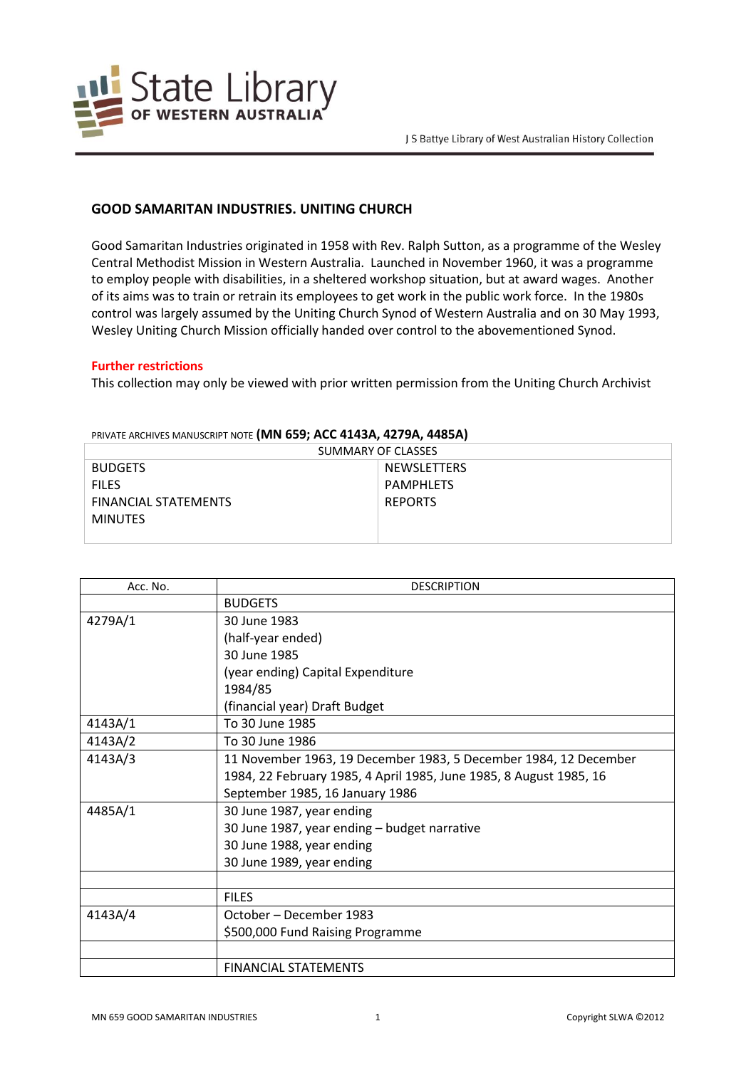

## **GOOD SAMARITAN INDUSTRIES. UNITING CHURCH**

Good Samaritan Industries originated in 1958 with Rev. Ralph Sutton, as a programme of the Wesley Central Methodist Mission in Western Australia. Launched in November 1960, it was a programme to employ people with disabilities, in a sheltered workshop situation, but at award wages. Another of its aims was to train or retrain its employees to get work in the public work force. In the 1980s control was largely assumed by the Uniting Church Synod of Western Australia and on 30 May 1993, Wesley Uniting Church Mission officially handed over control to the abovementioned Synod.

## **Further restrictions**

This collection may only be viewed with prior written permission from the Uniting Church Archivist

| SUMMARY OF CLASSES          |                  |  |
|-----------------------------|------------------|--|
| <b>BUDGETS</b>              | NEWSLETTERS      |  |
| <b>FILES</b>                | <b>PAMPHLETS</b> |  |
| <b>FINANCIAL STATEMENTS</b> | <b>REPORTS</b>   |  |
| <b>MINUTES</b>              |                  |  |
|                             |                  |  |

PRIVATE ARCHIVES MANUSCRIPT NOTE **(MN 659; ACC 4143A, 4279A, 4485A)**

| Acc. No. | <b>DESCRIPTION</b>                                                 |
|----------|--------------------------------------------------------------------|
|          | <b>BUDGETS</b>                                                     |
| 4279A/1  | 30 June 1983                                                       |
|          | (half-year ended)                                                  |
|          | 30 June 1985                                                       |
|          | (year ending) Capital Expenditure                                  |
|          | 1984/85                                                            |
|          | (financial year) Draft Budget                                      |
| 4143A/1  | To 30 June 1985                                                    |
| 4143A/2  | To 30 June 1986                                                    |
| 4143A/3  | 11 November 1963, 19 December 1983, 5 December 1984, 12 December   |
|          | 1984, 22 February 1985, 4 April 1985, June 1985, 8 August 1985, 16 |
|          | September 1985, 16 January 1986                                    |
| 4485A/1  | 30 June 1987, year ending                                          |
|          | 30 June 1987, year ending - budget narrative                       |
|          | 30 June 1988, year ending                                          |
|          | 30 June 1989, year ending                                          |
|          |                                                                    |
|          | <b>FILES</b>                                                       |
| 4143A/4  | October – December 1983                                            |
|          | \$500,000 Fund Raising Programme                                   |
|          |                                                                    |
|          | <b>FINANCIAL STATEMENTS</b>                                        |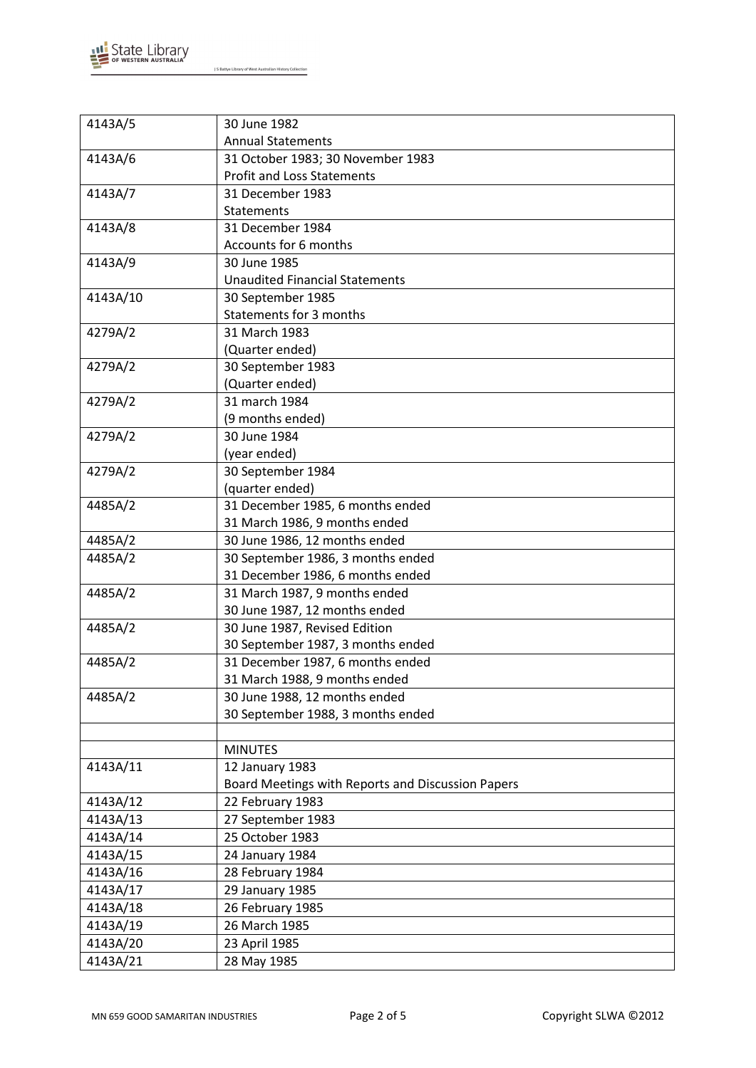

| 4143A/5  | 30 June 1982                                      |
|----------|---------------------------------------------------|
|          | <b>Annual Statements</b>                          |
| 4143A/6  | 31 October 1983; 30 November 1983                 |
|          | <b>Profit and Loss Statements</b>                 |
| 4143A/7  | 31 December 1983                                  |
|          | <b>Statements</b>                                 |
| 4143A/8  | 31 December 1984                                  |
|          | Accounts for 6 months                             |
| 4143A/9  | 30 June 1985                                      |
|          | <b>Unaudited Financial Statements</b>             |
| 4143A/10 | 30 September 1985                                 |
|          | Statements for 3 months                           |
| 4279A/2  | 31 March 1983                                     |
|          | (Quarter ended)                                   |
| 4279A/2  | 30 September 1983                                 |
|          | (Quarter ended)                                   |
| 4279A/2  | 31 march 1984                                     |
|          | (9 months ended)                                  |
| 4279A/2  | 30 June 1984                                      |
|          | (year ended)                                      |
| 4279A/2  | 30 September 1984                                 |
|          | (quarter ended)                                   |
| 4485A/2  | 31 December 1985, 6 months ended                  |
|          | 31 March 1986, 9 months ended                     |
| 4485A/2  | 30 June 1986, 12 months ended                     |
| 4485A/2  | 30 September 1986, 3 months ended                 |
|          | 31 December 1986, 6 months ended                  |
| 4485A/2  | 31 March 1987, 9 months ended                     |
|          | 30 June 1987, 12 months ended                     |
| 4485A/2  | 30 June 1987, Revised Edition                     |
|          | 30 September 1987, 3 months ended                 |
| 4485A/2  | 31 December 1987, 6 months ended                  |
|          | 31 March 1988, 9 months ended                     |
| 4485A/2  | 30 June 1988, 12 months ended                     |
|          | 30 September 1988, 3 months ended                 |
|          |                                                   |
|          | <b>MINUTES</b>                                    |
| 4143A/11 | 12 January 1983                                   |
|          | Board Meetings with Reports and Discussion Papers |
| 4143A/12 | 22 February 1983                                  |
| 4143A/13 | 27 September 1983                                 |
| 4143A/14 | 25 October 1983                                   |
| 4143A/15 | 24 January 1984                                   |
| 4143A/16 | 28 February 1984                                  |
| 4143A/17 | 29 January 1985                                   |
| 4143A/18 | 26 February 1985                                  |
| 4143A/19 | 26 March 1985                                     |
| 4143A/20 | 23 April 1985                                     |
| 4143A/21 | 28 May 1985                                       |
|          |                                                   |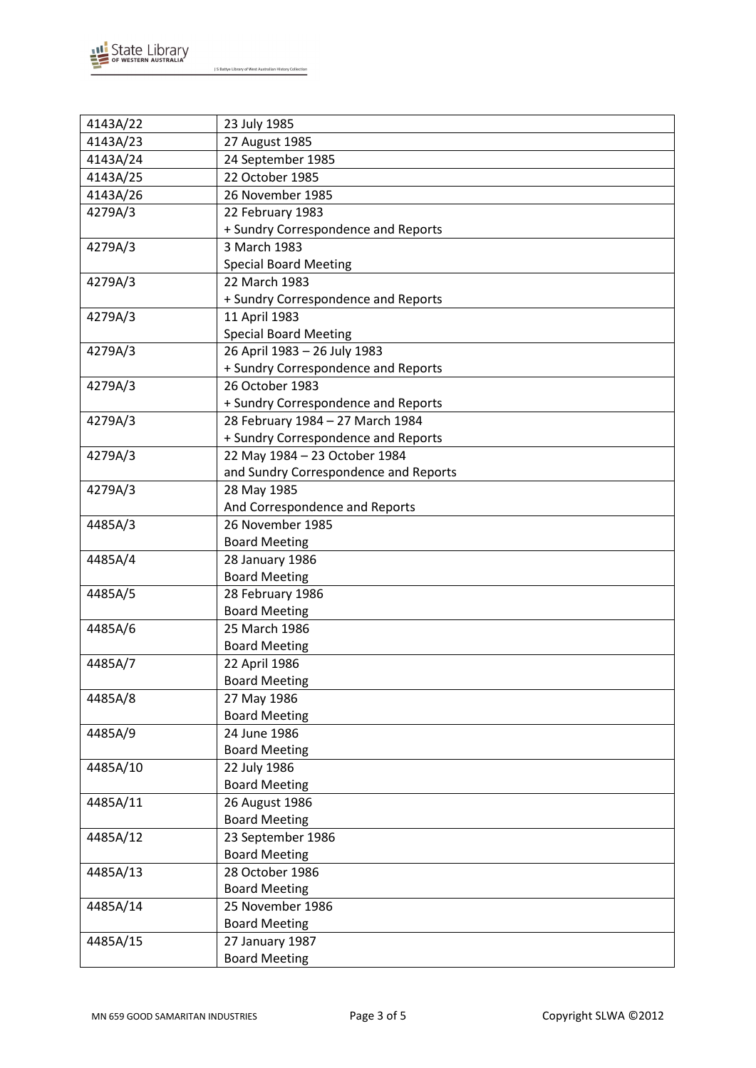

| 4143A/22 | 23 July 1985                          |
|----------|---------------------------------------|
| 4143A/23 | 27 August 1985                        |
| 4143A/24 | 24 September 1985                     |
| 4143A/25 | 22 October 1985                       |
| 4143A/26 | 26 November 1985                      |
| 4279A/3  | 22 February 1983                      |
|          | + Sundry Correspondence and Reports   |
| 4279A/3  | 3 March 1983                          |
|          | <b>Special Board Meeting</b>          |
| 4279A/3  | 22 March 1983                         |
|          | + Sundry Correspondence and Reports   |
| 4279A/3  | 11 April 1983                         |
|          | <b>Special Board Meeting</b>          |
| 4279A/3  | 26 April 1983 - 26 July 1983          |
|          | + Sundry Correspondence and Reports   |
| 4279A/3  | 26 October 1983                       |
|          | + Sundry Correspondence and Reports   |
| 4279A/3  | 28 February 1984 - 27 March 1984      |
|          | + Sundry Correspondence and Reports   |
| 4279A/3  | 22 May 1984 - 23 October 1984         |
|          | and Sundry Correspondence and Reports |
| 4279A/3  | 28 May 1985                           |
|          | And Correspondence and Reports        |
| 4485A/3  | 26 November 1985                      |
|          | <b>Board Meeting</b>                  |
| 4485A/4  | 28 January 1986                       |
|          | <b>Board Meeting</b>                  |
| 4485A/5  | 28 February 1986                      |
|          | <b>Board Meeting</b>                  |
| 4485A/6  | 25 March 1986                         |
|          | <b>Board Meeting</b>                  |
| 4485A/7  | 22 April 1986                         |
|          | <b>Board Meeting</b>                  |
| 4485A/8  | 27 May 1986                           |
|          | <b>Board Meeting</b>                  |
| 4485A/9  | 24 June 1986                          |
|          | <b>Board Meeting</b>                  |
| 4485A/10 | 22 July 1986                          |
|          | <b>Board Meeting</b>                  |
| 4485A/11 | 26 August 1986                        |
|          | <b>Board Meeting</b>                  |
| 4485A/12 | 23 September 1986                     |
|          | <b>Board Meeting</b>                  |
| 4485A/13 | 28 October 1986                       |
|          | <b>Board Meeting</b>                  |
| 4485A/14 | 25 November 1986                      |
|          | <b>Board Meeting</b>                  |
| 4485A/15 | 27 January 1987                       |
|          | <b>Board Meeting</b>                  |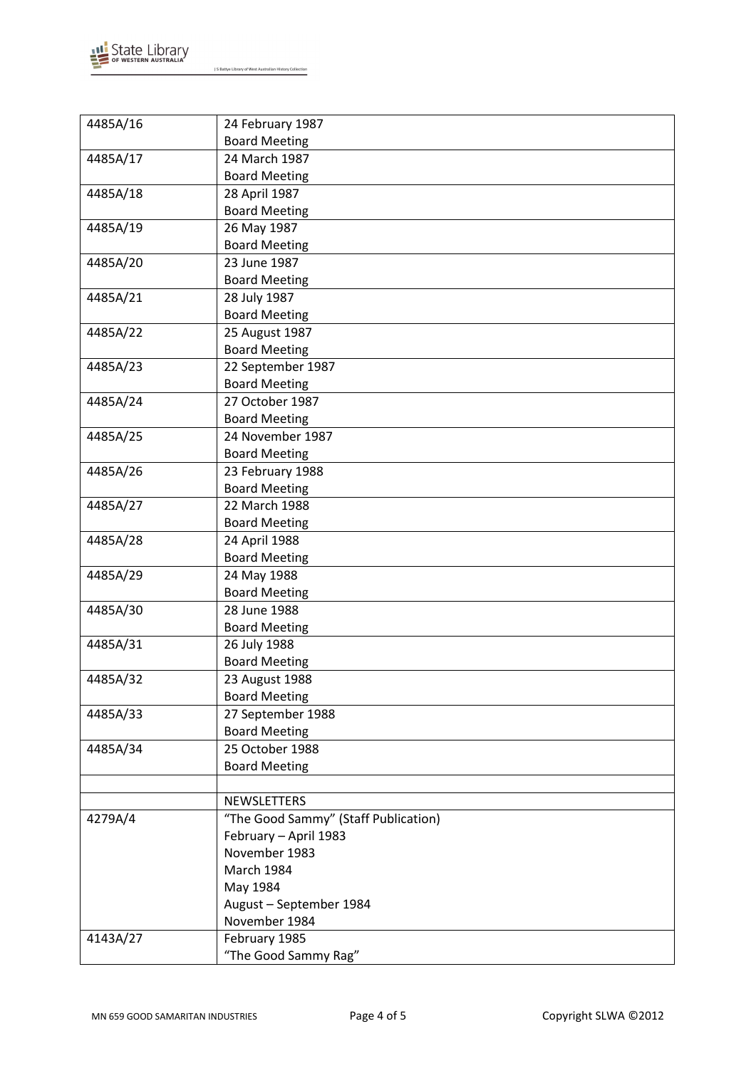

| 4485A/16 | 24 February 1987                     |
|----------|--------------------------------------|
|          | <b>Board Meeting</b>                 |
| 4485A/17 | 24 March 1987                        |
|          | <b>Board Meeting</b>                 |
| 4485A/18 | 28 April 1987                        |
|          | <b>Board Meeting</b>                 |
| 4485A/19 | 26 May 1987                          |
|          | <b>Board Meeting</b>                 |
| 4485A/20 | 23 June 1987                         |
|          | <b>Board Meeting</b>                 |
| 4485A/21 | 28 July 1987                         |
|          | <b>Board Meeting</b>                 |
| 4485A/22 | 25 August 1987                       |
|          | <b>Board Meeting</b>                 |
| 4485A/23 | 22 September 1987                    |
|          | <b>Board Meeting</b>                 |
| 4485A/24 | 27 October 1987                      |
|          | <b>Board Meeting</b>                 |
| 4485A/25 | 24 November 1987                     |
|          | <b>Board Meeting</b>                 |
| 4485A/26 | 23 February 1988                     |
|          | <b>Board Meeting</b>                 |
| 4485A/27 | 22 March 1988                        |
|          | <b>Board Meeting</b>                 |
| 4485A/28 | 24 April 1988                        |
|          | <b>Board Meeting</b>                 |
| 4485A/29 | 24 May 1988                          |
|          | <b>Board Meeting</b>                 |
| 4485A/30 | 28 June 1988                         |
|          | <b>Board Meeting</b>                 |
| 4485A/31 | 26 July 1988                         |
|          | <b>Board Meeting</b>                 |
| 4485A/32 | 23 August 1988                       |
|          | <b>Board Meeting</b>                 |
| 4485A/33 | 27 September 1988                    |
|          | <b>Board Meeting</b>                 |
| 4485A/34 | 25 October 1988                      |
|          | <b>Board Meeting</b>                 |
|          |                                      |
|          | NEWSLETTERS                          |
| 4279A/4  | "The Good Sammy" (Staff Publication) |
|          | February - April 1983                |
|          | November 1983                        |
|          | March 1984                           |
|          | May 1984                             |
|          | August - September 1984              |
|          | November 1984                        |
| 4143A/27 | February 1985                        |
|          | "The Good Sammy Rag"                 |
|          |                                      |